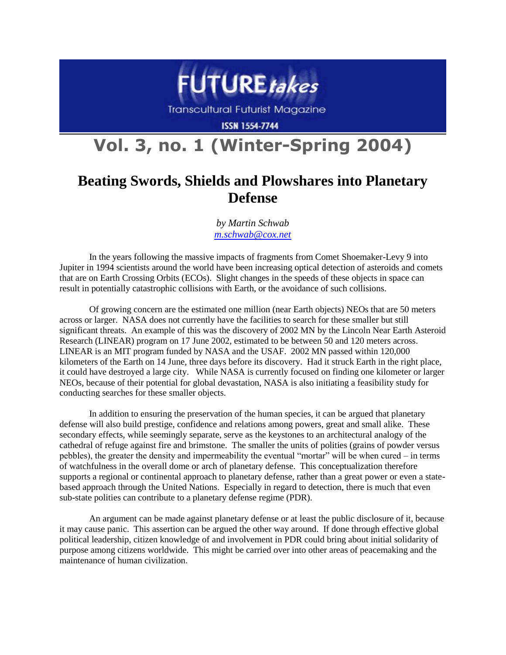

Transcultural Futurist Magazine

**ISSN 1554-7744** 

## **Vol. 3, no. 1 (Winter-Spring 2004)**

## **Beating Swords, Shields and Plowshares into Planetary Defense**

*by Martin Schwab [m.schwab@cox.net](mailto:m.schwab@cox.net)*

In the years following the massive impacts of fragments from Comet Shoemaker-Levy 9 into Jupiter in 1994 scientists around the world have been increasing optical detection of asteroids and comets that are on Earth Crossing Orbits (ECOs). Slight changes in the speeds of these objects in space can result in potentially catastrophic collisions with Earth, or the avoidance of such collisions.

Of growing concern are the estimated one million (near Earth objects) NEOs that are 50 meters across or larger. NASA does not currently have the facilities to search for these smaller but still significant threats. An example of this was the discovery of 2002 MN by the Lincoln Near Earth Asteroid Research (LINEAR) program on 17 June 2002, estimated to be between 50 and 120 meters across. LINEAR is an MIT program funded by NASA and the USAF. 2002 MN passed within 120,000 kilometers of the Earth on 14 June, three days before its discovery. Had it struck Earth in the right place, it could have destroyed a large city. While NASA is currently focused on finding one kilometer or larger NEOs, because of their potential for global devastation, NASA is also initiating a feasibility study for conducting searches for these smaller objects.

In addition to ensuring the preservation of the human species, it can be argued that planetary defense will also build prestige, confidence and relations among powers, great and small alike. These secondary effects, while seemingly separate, serve as the keystones to an architectural analogy of the cathedral of refuge against fire and brimstone. The smaller the units of polities (grains of powder versus pebbles), the greater the density and impermeability the eventual "mortar" will be when cured – in terms of watchfulness in the overall dome or arch of planetary defense. This conceptualization therefore supports a regional or continental approach to planetary defense, rather than a great power or even a statebased approach through the United Nations. Especially in regard to detection, there is much that even sub-state polities can contribute to a planetary defense regime (PDR).

An argument can be made against planetary defense or at least the public disclosure of it, because it may cause panic. This assertion can be argued the other way around. If done through effective global political leadership, citizen knowledge of and involvement in PDR could bring about initial solidarity of purpose among citizens worldwide. This might be carried over into other areas of peacemaking and the maintenance of human civilization.